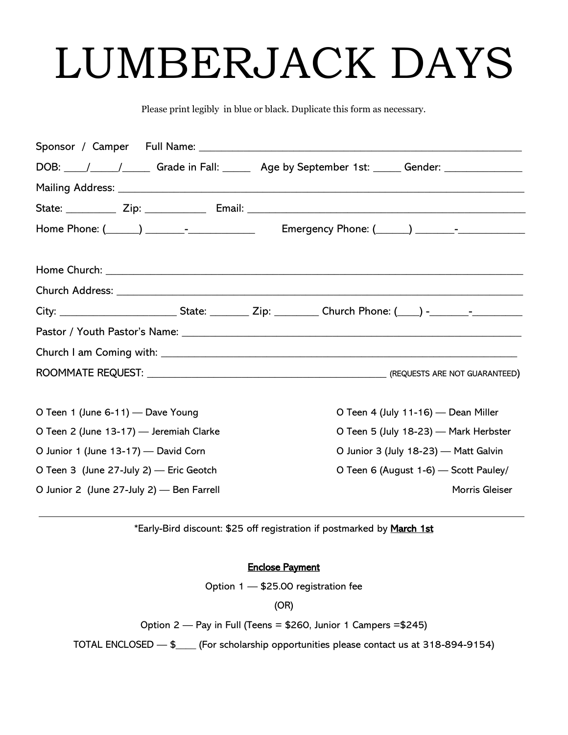# LUMBERJACK DAYS

Please print legibly in blue or black. Duplicate this form as necessary.

|                                           | DOB: \botass_\______/\____________Grade in Fall: \botass_________________________<br>Age by September 1st: \botass_________Gender: \botass___________________________ |
|-------------------------------------------|-----------------------------------------------------------------------------------------------------------------------------------------------------------------------|
|                                           |                                                                                                                                                                       |
|                                           |                                                                                                                                                                       |
|                                           |                                                                                                                                                                       |
|                                           |                                                                                                                                                                       |
|                                           |                                                                                                                                                                       |
|                                           |                                                                                                                                                                       |
|                                           |                                                                                                                                                                       |
|                                           |                                                                                                                                                                       |
|                                           |                                                                                                                                                                       |
|                                           |                                                                                                                                                                       |
|                                           |                                                                                                                                                                       |
| O Teen 1 (June 6-11) — Dave Young         | O Teen 4 (July 11-16) — Dean Miller                                                                                                                                   |
| O Teen 2 (June 13-17) - Jeremiah Clarke   | O Teen 5 (July 18-23) - Mark Herbster                                                                                                                                 |
| O Junior 1 (June 13-17) — David Corn      | O Junior 3 (July 18-23) - Matt Galvin                                                                                                                                 |
| O Teen 3 (June 27-July 2) - Eric Geotch   | O Teen 6 (August 1-6) - Scott Pauley/                                                                                                                                 |
| O Junior 2 (June 27-July 2) - Ben Farrell | Morris Gleiser                                                                                                                                                        |

\*Early-Bird discount: \$25 off registration if postmarked by March 1st

#### Enclose Payment

Option 1 — \$25.00 registration fee

(OR)

Option 2 — Pay in Full (Teens = \$260, Junior 1 Campers =\$245)

TOTAL ENCLOSED — \$\_\_\_\_ (For scholarship opportunities please contact us at 318-894-9154)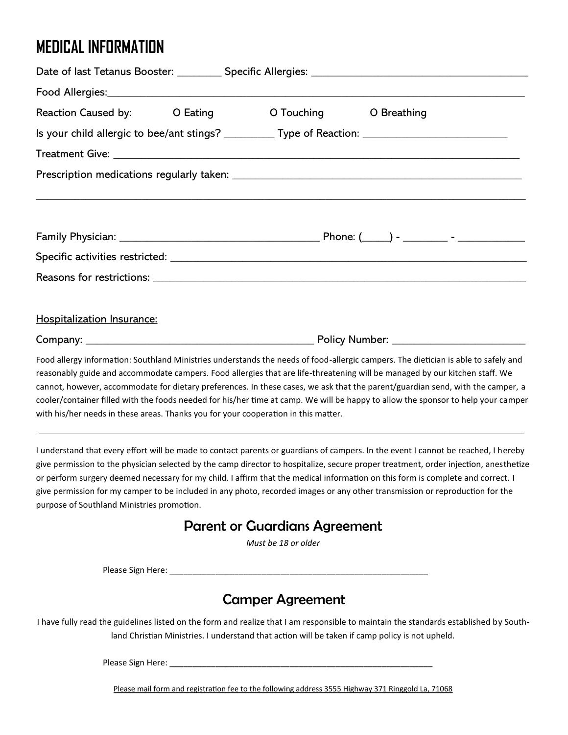# **MEDICAL INFORMATION**

| Reaction Caused by: Cating |  |  | O Touching O Breathing                                                                                                                                                                                                                                                                                                                                                                              |  |  |
|----------------------------|--|--|-----------------------------------------------------------------------------------------------------------------------------------------------------------------------------------------------------------------------------------------------------------------------------------------------------------------------------------------------------------------------------------------------------|--|--|
|                            |  |  | Is your child allergic to bee/ant stings? __________ Type of Reaction: ____________________________                                                                                                                                                                                                                                                                                                 |  |  |
|                            |  |  |                                                                                                                                                                                                                                                                                                                                                                                                     |  |  |
|                            |  |  | <u>,这就是一个人的人,我们就是一个人的人,我们就是一个人的人,我们就是一个人的人,我们就是一个人的人,我们就是一个人的人,我们就是一个人的人,我们就是</u>                                                                                                                                                                                                                                                                                                                   |  |  |
|                            |  |  |                                                                                                                                                                                                                                                                                                                                                                                                     |  |  |
|                            |  |  |                                                                                                                                                                                                                                                                                                                                                                                                     |  |  |
|                            |  |  |                                                                                                                                                                                                                                                                                                                                                                                                     |  |  |
| Hospitalization Insurance: |  |  |                                                                                                                                                                                                                                                                                                                                                                                                     |  |  |
|                            |  |  |                                                                                                                                                                                                                                                                                                                                                                                                     |  |  |
|                            |  |  | Food allergy information: Southland Ministries understands the needs of food-allergic campers. The dietician is able to safely and<br>reasonably guide and accommodate campers. Food allergies that are life-threatening will be managed by our kitchen staff. We<br>cannot, however, accommodate for dietary preferences. In these cases, we ask that the parent/guardian send, with the camper, a |  |  |

cooler/container filled with the foods needed for his/her time at camp. We will be happy to allow the sponsor to help your camper with his/her needs in these areas. Thanks you for your cooperation in this matter.

I understand that every effort will be made to contact parents or guardians of campers. In the event I cannot be reached, I hereby give permission to the physician selected by the camp director to hospitalize, secure proper treatment, order injection, anesthetize or perform surgery deemed necessary for my child. I affirm that the medical information on this form is complete and correct. I give permission for my camper to be included in any photo, recorded images or any other transmission or reproduction for the purpose of Southland Ministries promotion.

#### Parent or Guardians Agreement

*Must be 18 or older* 

Please Sign Here:  $\overline{\phantom{a}}$ 

### Camper Agreement

I have fully read the guidelines listed on the form and realize that I am responsible to maintain the standards established by Southland Christian Ministries. I understand that action will be taken if camp policy is not upheld.

Please Sign Here: \_\_\_\_\_\_\_\_\_\_\_\_\_\_\_\_\_\_\_\_\_\_\_\_\_\_\_\_\_\_\_\_\_\_\_\_\_\_\_\_\_\_\_\_\_\_\_\_\_\_\_\_\_\_\_\_\_

Please mail form and registration fee to the following address 3555 Highway 371 Ringgold La, 71068